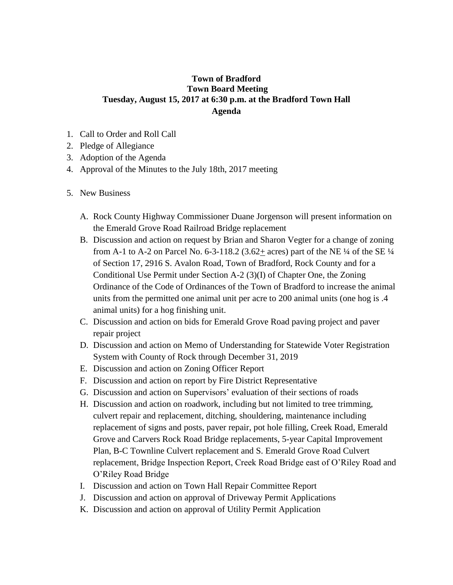## **Town of Bradford Town Board Meeting Tuesday, August 15, 2017 at 6:30 p.m. at the Bradford Town Hall Agenda**

- 1. Call to Order and Roll Call
- 2. Pledge of Allegiance
- 3. Adoption of the Agenda
- 4. Approval of the Minutes to the July 18th, 2017 meeting
- 5. New Business
	- A. Rock County Highway Commissioner Duane Jorgenson will present information on the Emerald Grove Road Railroad Bridge replacement
	- B. Discussion and action on request by Brian and Sharon Vegter for a change of zoning from A-1 to A-2 on Parcel No. 6-3-118.2 (3.62+ acres) part of the NE  $\frac{1}{4}$  of the SE  $\frac{1}{4}$ of Section 17, 2916 S. Avalon Road, Town of Bradford, Rock County and for a Conditional Use Permit under Section A-2 (3)(I) of Chapter One, the Zoning Ordinance of the Code of Ordinances of the Town of Bradford to increase the animal units from the permitted one animal unit per acre to 200 animal units (one hog is .4 animal units) for a hog finishing unit.
	- C. Discussion and action on bids for Emerald Grove Road paving project and paver repair project
	- D. Discussion and action on Memo of Understanding for Statewide Voter Registration System with County of Rock through December 31, 2019
	- E. Discussion and action on Zoning Officer Report
	- F. Discussion and action on report by Fire District Representative
	- G. Discussion and action on Supervisors' evaluation of their sections of roads
	- H. Discussion and action on roadwork, including but not limited to tree trimming, culvert repair and replacement, ditching, shouldering, maintenance including replacement of signs and posts, paver repair, pot hole filling, Creek Road, Emerald Grove and Carvers Rock Road Bridge replacements, 5-year Capital Improvement Plan, B-C Townline Culvert replacement and S. Emerald Grove Road Culvert replacement, Bridge Inspection Report, Creek Road Bridge east of O'Riley Road and O'Riley Road Bridge
	- I. Discussion and action on Town Hall Repair Committee Report
	- J. Discussion and action on approval of Driveway Permit Applications
	- K. Discussion and action on approval of Utility Permit Application